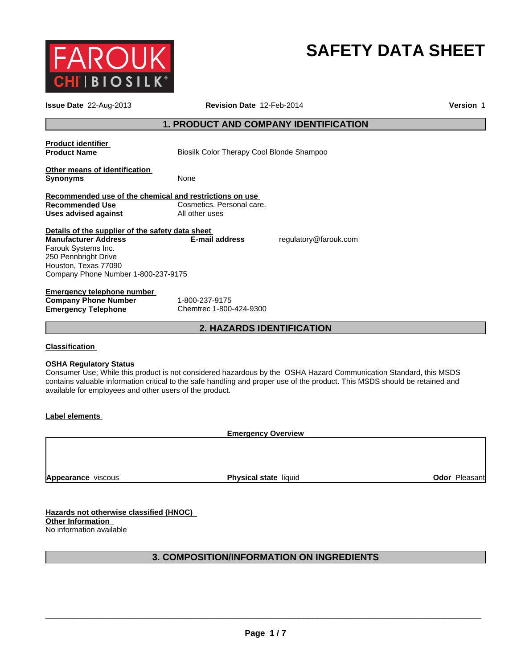

# **SAFETY DATA SHEET**

| Issue Date 22-Aug-2013                                                                                                                                                                        | Revision Date 12-Feb-2014                                                                                                                                                                                                                        | Version 1     |  |
|-----------------------------------------------------------------------------------------------------------------------------------------------------------------------------------------------|--------------------------------------------------------------------------------------------------------------------------------------------------------------------------------------------------------------------------------------------------|---------------|--|
| <b>1. PRODUCT AND COMPANY IDENTIFICATION</b>                                                                                                                                                  |                                                                                                                                                                                                                                                  |               |  |
| <b>Product identifier</b><br><b>Product Name</b>                                                                                                                                              | Biosilk Color Therapy Cool Blonde Shampoo                                                                                                                                                                                                        |               |  |
| Other means of identification<br><b>Synonyms</b>                                                                                                                                              | None                                                                                                                                                                                                                                             |               |  |
| Recommended use of the chemical and restrictions on use<br><b>Recommended Use</b><br><b>Uses advised against</b>                                                                              | Cosmetics. Personal care.<br>All other uses                                                                                                                                                                                                      |               |  |
| Details of the supplier of the safety data sheet<br><b>Manufacturer Address</b><br>Farouk Systems Inc.<br>250 Pennbright Drive<br>Houston, Texas 77090<br>Company Phone Number 1-800-237-9175 | E-mail address<br>regulatory@farouk.com                                                                                                                                                                                                          |               |  |
| <b>Emergency telephone number</b><br><b>Company Phone Number</b><br><b>Emergency Telephone</b>                                                                                                | 1-800-237-9175<br>Chemtrec 1-800-424-9300                                                                                                                                                                                                        |               |  |
|                                                                                                                                                                                               | <b>2. HAZARDS IDENTIFICATION</b>                                                                                                                                                                                                                 |               |  |
| <b>Classification</b>                                                                                                                                                                         |                                                                                                                                                                                                                                                  |               |  |
| <b>OSHA Regulatory Status</b><br>available for employees and other users of the product.                                                                                                      | Consumer Use; While this product is not considered hazardous by the OSHA Hazard Communication Standard, this MSDS<br>contains valuable information critical to the safe handling and proper use of the product. This MSDS should be retained and |               |  |
| Label elements                                                                                                                                                                                |                                                                                                                                                                                                                                                  |               |  |
|                                                                                                                                                                                               | <b>Emergency Overview</b>                                                                                                                                                                                                                        |               |  |
|                                                                                                                                                                                               |                                                                                                                                                                                                                                                  |               |  |
| Appearance viscous                                                                                                                                                                            | Physical state liquid                                                                                                                                                                                                                            | Odor Pleasant |  |
| Hazards not otherwise classified (HNOC)<br><b>Other Information</b><br>No information available                                                                                               |                                                                                                                                                                                                                                                  |               |  |

# **3. COMPOSITION/INFORMATION ON INGREDIENTS**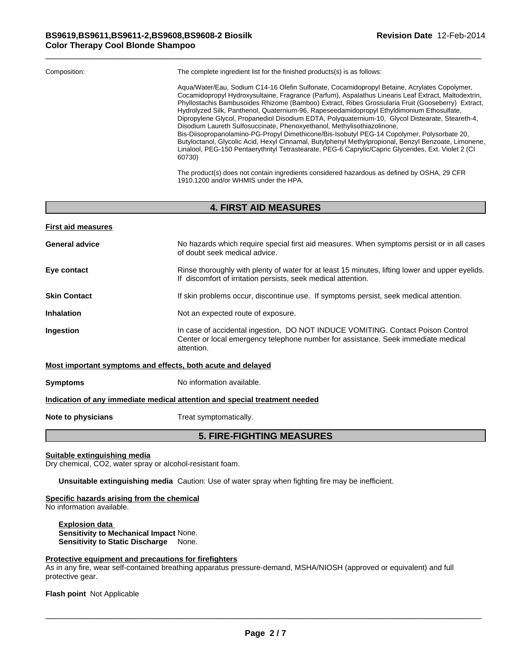| Composition: | The complete ingredient list for the finished products(s) is as follows:                                                                                                                                                                                                                                                                                                                                                                                                                                                                                                                                                                                                                                                                                                                                                                                                                                      |
|--------------|---------------------------------------------------------------------------------------------------------------------------------------------------------------------------------------------------------------------------------------------------------------------------------------------------------------------------------------------------------------------------------------------------------------------------------------------------------------------------------------------------------------------------------------------------------------------------------------------------------------------------------------------------------------------------------------------------------------------------------------------------------------------------------------------------------------------------------------------------------------------------------------------------------------|
|              | Agua/Water/Eau, Sodium C14-16 Olefin Sulfonate, Cocamidopropyl Betaine, Acrylates Copolymer,<br>Cocamidopropyl Hydroxysultaine, Fragrance (Parfum), Aspalathus Linearis Leaf Extract, Maltodextrin,<br>Phyllostachis Bambusoides Rhizome (Bamboo) Extract, Ribes Grossularia Fruit (Gooseberry) Extract,<br>Hydrolyzed Silk, Panthenol, Quaternium-96, Rapeseedamidopropyl Ethyldimonium Ethosulfate,<br>Dipropylene Glycol, Propanediol Disodium EDTA, Polyquaternium-10, Glycol Distearate, Steareth-4,<br>Disodium Laureth Sulfosuccinate, Phenoxyethanol, Methylisothiazolinone,<br>Bis-Diisopropanolamino-PG-Propyl Dimethicone/Bis-Isobutyl PEG-14 Copolymer, Polysorbate 20,<br>Butyloctanol, Glycolic Acid, Hexyl Cinnamal, Butylphenyl Methylpropional, Benzyl Benzoate, Limonene,<br>Linalool, PEG-150 Pentaerythrityl Tetrastearate, PEG-6 Caprylic/Capric Glycerides, Ext. Violet 2 (CI<br>60730) |

The product(s) does not contain ingredients considered hazardous as defined by OSHA, 29 CFR 1910.1200 and/or WHMIS under the HPA.

# **4. FIRST AID MEASURES**

| <b>First aid measures</b>                                   |                                                                                                                                                                                    |
|-------------------------------------------------------------|------------------------------------------------------------------------------------------------------------------------------------------------------------------------------------|
| <b>General advice</b>                                       | No hazards which require special first aid measures. When symptoms persist or in all cases<br>of doubt seek medical advice.                                                        |
| Eye contact                                                 | Rinse thoroughly with plenty of water for at least 15 minutes, lifting lower and upper eyelids.<br>If discomfort of irritation persists, seek medical attention.                   |
| <b>Skin Contact</b>                                         | If skin problems occur, discontinue use. If symptoms persist, seek medical attention.                                                                                              |
| <b>Inhalation</b>                                           | Not an expected route of exposure.                                                                                                                                                 |
| <b>Ingestion</b>                                            | In case of accidental ingestion, DO NOT INDUCE VOMITING. Contact Poison Control<br>Center or local emergency telephone number for assistance. Seek immediate medical<br>attention. |
| Most important symptoms and effects, both acute and delayed |                                                                                                                                                                                    |

**Symptoms** No information available.

# **Indication of any immediate medical attention and special treatment needed**

**Note to physicians** Treat symptomatically.

# **5. FIRE-FIGHTING MEASURES**

**Suitable extinguishing media**

Dry chemical, CO2, water spray or alcohol-resistant foam.

**Unsuitable extinguishing media** Caution: Use of water spray when fighting fire may be inefficient.

**Specific hazards arising from the chemical**

No information available.

**Explosion data Sensitivity to Mechanical Impact** None. **Sensitivity to Static Discharge** None.

#### **Protective equipment and precautions for firefighters**

As in any fire, wear self-contained breathing apparatus pressure-demand, MSHA/NIOSH (approved or equivalent) and full protective gear.

**Flash point** Not Applicable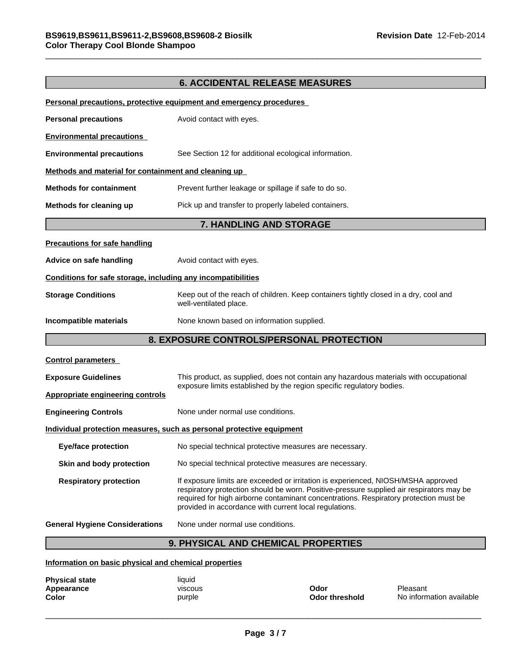|                                                              | <b>6. ACCIDENTAL RELEASE MEASURES</b>                                                                                                                                                                                                                                                                                            |  |
|--------------------------------------------------------------|----------------------------------------------------------------------------------------------------------------------------------------------------------------------------------------------------------------------------------------------------------------------------------------------------------------------------------|--|
|                                                              | Personal precautions, protective equipment and emergency procedures                                                                                                                                                                                                                                                              |  |
| <b>Personal precautions</b>                                  | Avoid contact with eyes.                                                                                                                                                                                                                                                                                                         |  |
| <b>Environmental precautions</b>                             |                                                                                                                                                                                                                                                                                                                                  |  |
| <b>Environmental precautions</b>                             | See Section 12 for additional ecological information.                                                                                                                                                                                                                                                                            |  |
| Methods and material for containment and cleaning up         |                                                                                                                                                                                                                                                                                                                                  |  |
| <b>Methods for containment</b>                               | Prevent further leakage or spillage if safe to do so.                                                                                                                                                                                                                                                                            |  |
| Methods for cleaning up                                      | Pick up and transfer to properly labeled containers.                                                                                                                                                                                                                                                                             |  |
|                                                              | 7. HANDLING AND STORAGE                                                                                                                                                                                                                                                                                                          |  |
| <b>Precautions for safe handling</b>                         |                                                                                                                                                                                                                                                                                                                                  |  |
| Advice on safe handling                                      | Avoid contact with eyes.                                                                                                                                                                                                                                                                                                         |  |
| Conditions for safe storage, including any incompatibilities |                                                                                                                                                                                                                                                                                                                                  |  |
| <b>Storage Conditions</b>                                    | Keep out of the reach of children. Keep containers tightly closed in a dry, cool and<br>well-ventilated place.                                                                                                                                                                                                                   |  |
| Incompatible materials                                       | None known based on information supplied.                                                                                                                                                                                                                                                                                        |  |
| 8. EXPOSURE CONTROLS/PERSONAL PROTECTION                     |                                                                                                                                                                                                                                                                                                                                  |  |
| <b>Control parameters</b>                                    |                                                                                                                                                                                                                                                                                                                                  |  |
| <b>Exposure Guidelines</b>                                   | This product, as supplied, does not contain any hazardous materials with occupational                                                                                                                                                                                                                                            |  |
| <b>Appropriate engineering controls</b>                      | exposure limits established by the region specific regulatory bodies.                                                                                                                                                                                                                                                            |  |
| <b>Engineering Controls</b>                                  | None under normal use conditions.                                                                                                                                                                                                                                                                                                |  |
|                                                              | <u>Individual protection measures, such as personal protective equipment</u>                                                                                                                                                                                                                                                     |  |
| <b>Eye/face protection</b>                                   | No special technical protective measures are necessary.                                                                                                                                                                                                                                                                          |  |
| Skin and body protection                                     | No special technical protective measures are necessary.                                                                                                                                                                                                                                                                          |  |
| <b>Respiratory protection</b>                                | If exposure limits are exceeded or irritation is experienced, NIOSH/MSHA approved<br>respiratory protection should be worn. Positive-pressure supplied air respirators may be<br>required for high airborne contaminant concentrations. Respiratory protection must be<br>provided in accordance with current local regulations. |  |
| <b>General Hygiene Considerations</b>                        | None under normal use conditions.                                                                                                                                                                                                                                                                                                |  |
|                                                              | BUVOIAAL AND OUFMIAAL BRABERTIES                                                                                                                                                                                                                                                                                                 |  |

# **9. PHYSICAL AND CHEMICAL PROPERTIES**

**Information on basic physical and chemical properties**

| <b>Physical state</b> | liquid  |                       |                          |
|-----------------------|---------|-----------------------|--------------------------|
| Appearance            | viscous | Odor                  | Pleasant                 |
| <b>Color</b>          | purple  | <b>Odor threshold</b> | No information available |
|                       |         |                       |                          |
|                       |         |                       |                          |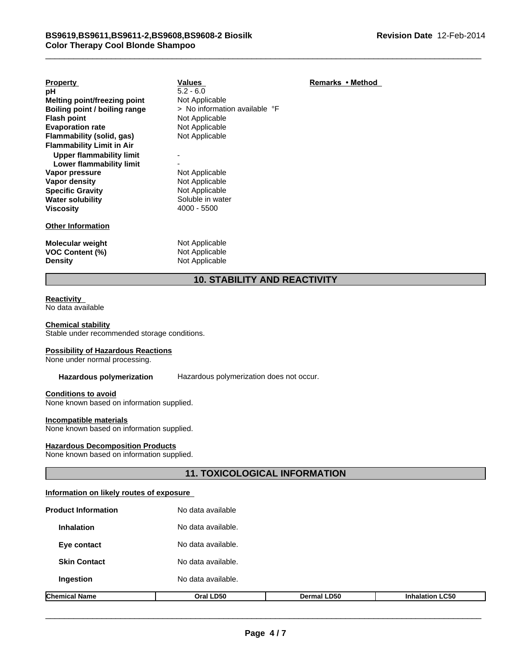| <b>Property</b>                     | <b>Values</b>                 | Remarks • Method |  |  |  |
|-------------------------------------|-------------------------------|------------------|--|--|--|
| рH                                  | $5.2 - 6.0$                   |                  |  |  |  |
| Melting point/freezing point        | Not Applicable                |                  |  |  |  |
| Boiling point / boiling range       | > No information available °F |                  |  |  |  |
| <b>Flash point</b>                  | Not Applicable                |                  |  |  |  |
| <b>Evaporation rate</b>             | Not Applicable                |                  |  |  |  |
| Flammability (solid, gas)           | Not Applicable                |                  |  |  |  |
| <b>Flammability Limit in Air</b>    |                               |                  |  |  |  |
| <b>Upper flammability limit</b>     |                               |                  |  |  |  |
| Lower flammability limit            |                               |                  |  |  |  |
| Vapor pressure                      | Not Applicable                |                  |  |  |  |
| Vapor density                       | Not Applicable                |                  |  |  |  |
| <b>Specific Gravity</b>             | Not Applicable                |                  |  |  |  |
| <b>Water solubility</b>             | Soluble in water              |                  |  |  |  |
| <b>Viscosity</b>                    | $4000 - 5500$                 |                  |  |  |  |
| <b>Other Information</b>            |                               |                  |  |  |  |
| <b>Molecular weight</b>             | Not Applicable                |                  |  |  |  |
| <b>VOC Content (%)</b>              | Not Applicable                |                  |  |  |  |
| <b>Density</b>                      | Not Applicable                |                  |  |  |  |
| <b>10. STABILITY AND REACTIVITY</b> |                               |                  |  |  |  |

#### **Reactivity**

No data available

#### **Chemical stability**

Stable under recommended storage conditions.

#### **Possibility of Hazardous Reactions**

None under normal processing.

**Hazardous polymerization** Hazardous polymerization does not occur.

#### **Conditions to avoid**

None known based on information supplied.

#### **Incompatible materials**

None known based on information supplied.

#### **Hazardous Decomposition Products**

None known based on information supplied.

# **11. TOXICOLOGICAL INFORMATION**

#### **Information on likely routes of exposure**

| <b>Chemical Name</b>       | Oral LD50          | Dermal LD50 | <b>Inhalation LC50</b> |  |  |
|----------------------------|--------------------|-------------|------------------------|--|--|
| Ingestion                  | No data available. |             |                        |  |  |
| <b>Skin Contact</b>        | No data available. |             |                        |  |  |
| Eye contact                | No data available. |             |                        |  |  |
| <b>Inhalation</b>          | No data available. |             |                        |  |  |
| <b>Product Information</b> | No data available  |             |                        |  |  |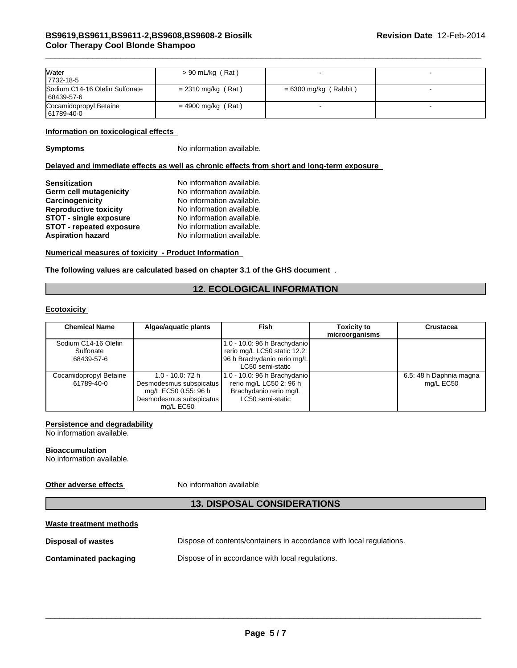| <b>Water</b><br>7732-18-5                    | $> 90$ mL/kg (Rat)   |                         |  |
|----------------------------------------------|----------------------|-------------------------|--|
| Sodium C14-16 Olefin Sulfonate<br>68439-57-6 | $= 2310$ mg/kg (Rat) | $= 6300$ mg/kg (Rabbit) |  |
| Cocamidopropyl Betaine<br>61789-40-0         | $= 4900$ mg/kg (Rat) |                         |  |

#### **Information on toxicological effects**

**Symptoms** No information available.

#### **Delayed and immediate effects as well as chronic effects from short and long-term exposure**

| <b>Sensitization</b>            | No information available. |
|---------------------------------|---------------------------|
| Germ cell mutagenicity          | No information available. |
| Carcinogenicity                 | No information available. |
| <b>Reproductive toxicity</b>    | No information available. |
| <b>STOT - single exposure</b>   | No information available. |
| <b>STOT - repeated exposure</b> | No information available. |
| <b>Aspiration hazard</b>        | No information available. |

#### **Numerical measures of toxicity - Product Information**

**The following values are calculated based on chapter 3.1 of the GHS document** .

### **12. ECOLOGICAL INFORMATION**

#### **Ecotoxicity**

| <b>Chemical Name</b>                            | Algae/aquatic plants                                                                                        | <b>Fish</b>                                                                                                     | <b>Toxicity to</b><br>microorganisms | Crustacea                            |
|-------------------------------------------------|-------------------------------------------------------------------------------------------------------------|-----------------------------------------------------------------------------------------------------------------|--------------------------------------|--------------------------------------|
| Sodium C14-16 Olefin<br>Sulfonate<br>68439-57-6 |                                                                                                             | 1.0 - 10.0: 96 h Brachydanio<br>rerio mg/L LC50 static 12.2:<br>96 h Brachydanio rerio mg/L<br>LC50 semi-static |                                      |                                      |
| Cocamidopropyl Betaine<br>61789-40-0            | 1.0 - 10.0: 72 h<br>Desmodesmus subspicatus<br>mg/L EC50 0.55: 96 h<br>Desmodesmus subspicatus<br>ma/L EC50 | 1.0 - 10.0: 96 h Brachydanio<br>rerio mg/L LC50 2: 96 h<br>Brachydanio rerio mg/L<br>LC50 semi-static           |                                      | 6.5: 48 h Daphnia magna<br>mg/L EC50 |

#### **Persistence and degradability**

No information available.

#### **Bioaccumulation**

No information available.

### **Other adverse effects** No information available

# **13. DISPOSAL CONSIDERATIONS**

# **Waste treatment methods**

| <b>Disposal of wastes</b> | Dispose of contents/containers in accordance with local regulations. |
|---------------------------|----------------------------------------------------------------------|
|                           |                                                                      |

**Contaminated packaging Dispose of in accordance with local regulations.**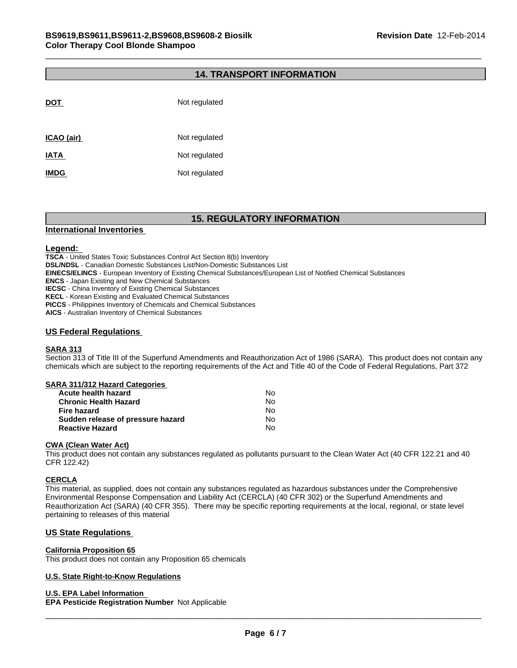### **14. TRANSPORT INFORMATION**

| <b>DOT</b>  | Not regulated |
|-------------|---------------|
| ICAO (air)  | Not regulated |
| <b>IATA</b> | Not regulated |
| <b>IMDG</b> | Not regulated |

# **15. REGULATORY INFORMATION**

#### **International Inventories**

#### **Legend:**

**TSCA** - United States Toxic Substances Control Act Section 8(b) Inventory **DSL/NDSL** - Canadian Domestic Substances List/Non-Domestic Substances List **EINECS/ELINCS** - European Inventory of Existing Chemical Substances/European List of Notified Chemical Substances **ENCS** - Japan Existing and New Chemical Substances **IECSC** - China Inventory of Existing Chemical Substances **KECL** - Korean Existing and Evaluated Chemical Substances **PICCS** - Philippines Inventory of Chemicals and Chemical Substances **AICS** - Australian Inventory of Chemical Substances

#### **US Federal Regulations**

#### **SARA 313**

Section 313 of Title III of the Superfund Amendments and Reauthorization Act of 1986 (SARA). This product does not contain any chemicals which are subject to the reporting requirements of the Act and Title 40 of the Code of Federal Regulations, Part 372

#### **SARA 311/312 Hazard Categories**

| Acute health hazard               | No. |
|-----------------------------------|-----|
| <b>Chronic Health Hazard</b>      | No. |
| Fire hazard                       | N٥  |
| Sudden release of pressure hazard | No. |
| <b>Reactive Hazard</b>            | N٥  |

#### **CWA (Clean Water Act)**

This product does not contain any substances regulated as pollutants pursuant to the Clean Water Act (40 CFR 122.21 and 40 CFR 122.42)

#### **CERCLA**

This material, as supplied, does not contain any substances regulated as hazardous substances under the Comprehensive Environmental Response Compensation and Liability Act (CERCLA) (40 CFR 302) or the Superfund Amendments and Reauthorization Act (SARA) (40 CFR 355). There may be specific reporting requirements at the local, regional, or state level pertaining to releases of this material

#### **US State Regulations**

#### **California Proposition 65**

This product does not contain any Proposition 65 chemicals

#### **U.S. State Right-to-Know Regulations**

#### **U.S. EPA Label Information**

**EPA Pesticide Registration Number** Not Applicable